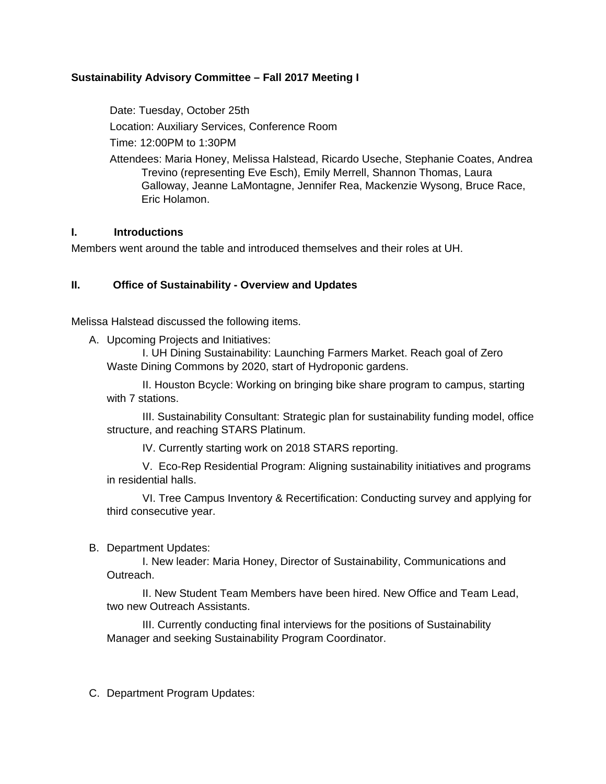# **Sustainability Advisory Committee – Fall 2017 Meeting I**

Date: Tuesday, October 25th Location: Auxiliary Services, Conference Room

Time: 12:00PM to 1:30PM

Attendees: Maria Honey, Melissa Halstead, Ricardo Useche, Stephanie Coates, Andrea Trevino (representing Eve Esch), Emily Merrell, Shannon Thomas, Laura Galloway, Jeanne LaMontagne, Jennifer Rea, Mackenzie Wysong, Bruce Race, Eric Holamon.

#### **I. Introductions**

Members went around the table and introduced themselves and their roles at UH.

## **II. Office of Sustainability - Overview and Updates**

Melissa Halstead discussed the following items.

A. Upcoming Projects and Initiatives:

I. UH Dining Sustainability: Launching Farmers Market. Reach goal of Zero Waste Dining Commons by 2020, start of Hydroponic gardens.

II. Houston Bcycle: Working on bringing bike share program to campus, starting with 7 stations.

III. Sustainability Consultant: Strategic plan for sustainability funding model, office structure, and reaching STARS Platinum.

IV. Currently starting work on 2018 STARS reporting.

V. Eco-Rep Residential Program: Aligning sustainability initiatives and programs in residential halls.

VI. Tree Campus Inventory & Recertification: Conducting survey and applying for third consecutive year.

B. Department Updates:

I. New leader: Maria Honey, Director of Sustainability, Communications and Outreach.

II. New Student Team Members have been hired. New Office and Team Lead, two new Outreach Assistants.

III. Currently conducting final interviews for the positions of Sustainability Manager and seeking Sustainability Program Coordinator.

C. Department Program Updates: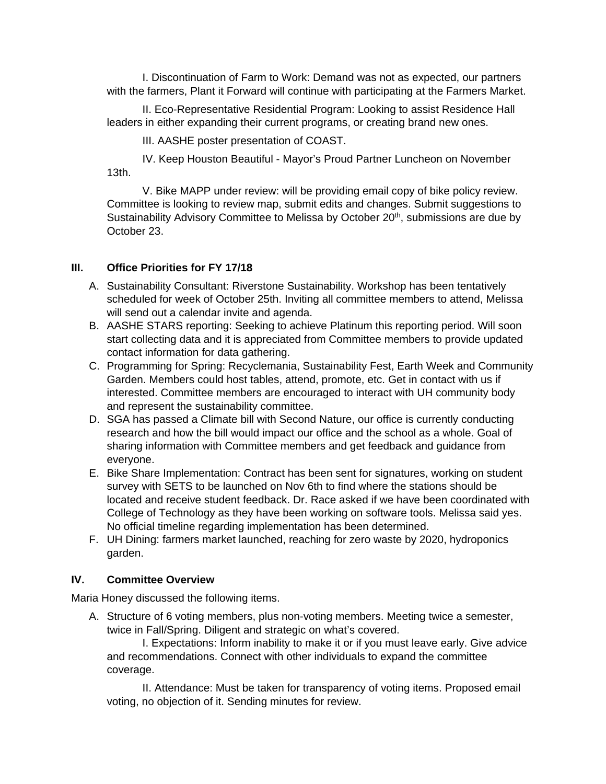I. Discontinuation of Farm to Work: Demand was not as expected, our partners with the farmers, Plant it Forward will continue with participating at the Farmers Market.

II. Eco-Representative Residential Program: Looking to assist Residence Hall leaders in either expanding their current programs, or creating brand new ones.

III. AASHE poster presentation of COAST.

IV. Keep Houston Beautiful - Mayor's Proud Partner Luncheon on November 13th.

V. Bike MAPP under review: will be providing email copy of bike policy review. Committee is looking to review map, submit edits and changes. Submit suggestions to Sustainability Advisory Committee to Melissa by October 20<sup>th</sup>, submissions are due by October 23.

# **III. Office Priorities for FY 17/18**

- A. Sustainability Consultant: Riverstone Sustainability. Workshop has been tentatively scheduled for week of October 25th. Inviting all committee members to attend, Melissa will send out a calendar invite and agenda.
- B. AASHE STARS reporting: Seeking to achieve Platinum this reporting period. Will soon start collecting data and it is appreciated from Committee members to provide updated contact information for data gathering.
- C. Programming for Spring: Recyclemania, Sustainability Fest, Earth Week and Community Garden. Members could host tables, attend, promote, etc. Get in contact with us if interested. Committee members are encouraged to interact with UH community body and represent the sustainability committee.
- D. SGA has passed a Climate bill with Second Nature, our office is currently conducting research and how the bill would impact our office and the school as a whole. Goal of sharing information with Committee members and get feedback and guidance from everyone.
- E. Bike Share Implementation: Contract has been sent for signatures, working on student survey with SETS to be launched on Nov 6th to find where the stations should be located and receive student feedback. Dr. Race asked if we have been coordinated with College of Technology as they have been working on software tools. Melissa said yes. No official timeline regarding implementation has been determined.
- F. UH Dining: farmers market launched, reaching for zero waste by 2020, hydroponics garden.

# **IV. Committee Overview**

Maria Honey discussed the following items.

A. Structure of 6 voting members, plus non-voting members. Meeting twice a semester, twice in Fall/Spring. Diligent and strategic on what's covered.

I. Expectations: Inform inability to make it or if you must leave early. Give advice and recommendations. Connect with other individuals to expand the committee coverage.

II. Attendance: Must be taken for transparency of voting items. Proposed email voting, no objection of it. Sending minutes for review.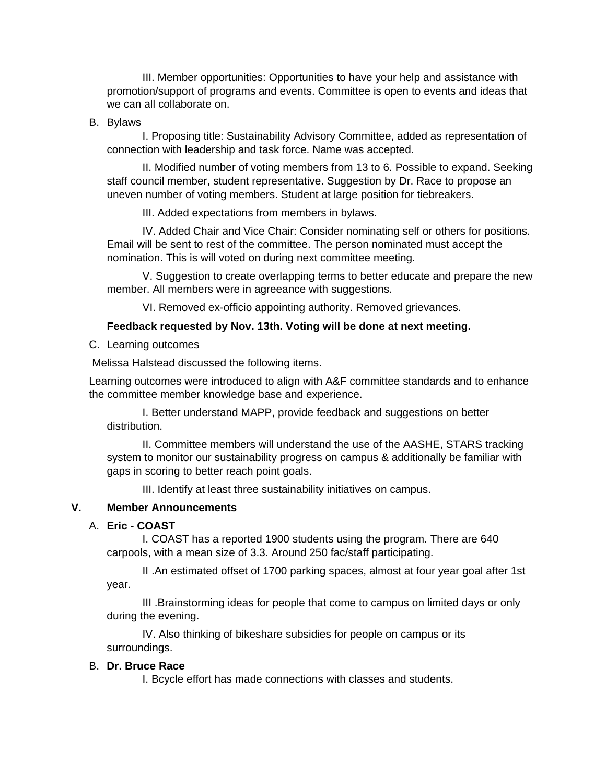III. Member opportunities: Opportunities to have your help and assistance with promotion/support of programs and events. Committee is open to events and ideas that we can all collaborate on.

#### B. Bylaws

I. Proposing title: Sustainability Advisory Committee, added as representation of connection with leadership and task force. Name was accepted.

II. Modified number of voting members from 13 to 6. Possible to expand. Seeking staff council member, student representative. Suggestion by Dr. Race to propose an uneven number of voting members. Student at large position for tiebreakers.

III. Added expectations from members in bylaws.

IV. Added Chair and Vice Chair: Consider nominating self or others for positions. Email will be sent to rest of the committee. The person nominated must accept the nomination. This is will voted on during next committee meeting.

V. Suggestion to create overlapping terms to better educate and prepare the new member. All members were in agreeance with suggestions.

VI. Removed ex-officio appointing authority. Removed grievances.

## **Feedback requested by Nov. 13th. Voting will be done at next meeting.**

C. Learning outcomes

Melissa Halstead discussed the following items.

Learning outcomes were introduced to align with A&F committee standards and to enhance the committee member knowledge base and experience.

I. Better understand MAPP, provide feedback and suggestions on better distribution.

II. Committee members will understand the use of the AASHE, STARS tracking system to monitor our sustainability progress on campus & additionally be familiar with gaps in scoring to better reach point goals.

III. Identify at least three sustainability initiatives on campus.

# **V. Member Announcements**

## A. **Eric - COAST**

I. COAST has a reported 1900 students using the program. There are 640 carpools, with a mean size of 3.3. Around 250 fac/staff participating.

II .An estimated offset of 1700 parking spaces, almost at four year goal after 1st year.

III .Brainstorming ideas for people that come to campus on limited days or only during the evening.

IV. Also thinking of bikeshare subsidies for people on campus or its surroundings.

## B. **Dr. Bruce Race**

I. Bcycle effort has made connections with classes and students.